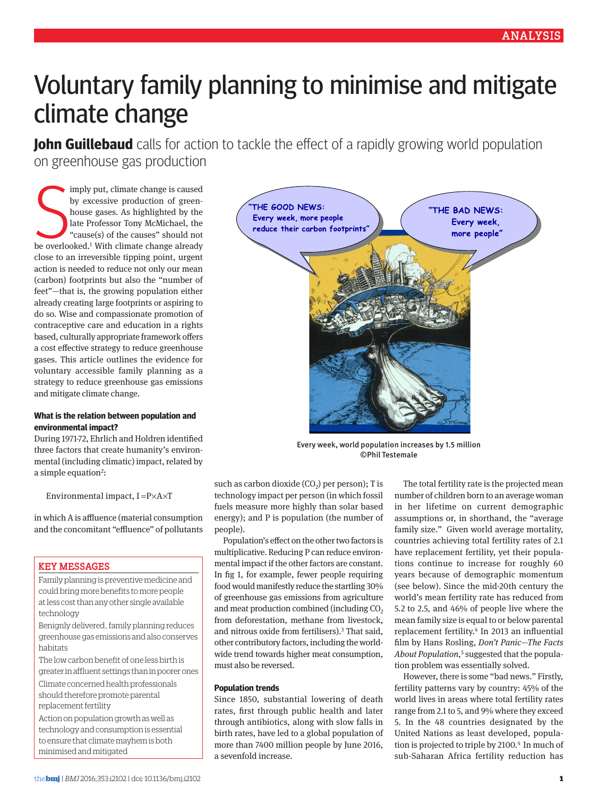# Voluntary family planning to minimise and mitigate climate change

**John Guillebaud** calls for action to tackle the effect of a rapidly growing world population on greenhouse gas production

imply put, climate change is caused<br>by excessive production of green-<br>house gases. As highlighted by the<br>late Professor Tony McMichael, the<br>"cause(s) of the causes" should not<br>be overlooked.<sup>1</sup> With climate change already imply put, climate change is caused by excessive production of greenhouse gases. As highlighted by the late Professor Tony McMichael, the "cause(s) of the causes" should not close to an irreversible tipping point, urgent action is needed to reduce not only our mean (carbon) footprints but also the "number of feet"—that is, the growing population either already creating large footprints or aspiring to do so. Wise and compassionate promotion of contraceptive care and education in a rights based, culturally appropriate framework offers a cost effective strategy to reduce greenhouse gases. This article outlines the evidence for voluntary accessible family planning as a strategy to reduce greenhouse gas emissions and mitigate climate change.

### **What is the relation between population and environmental impact?**

During 1971-72, Ehrlich and Holdren identified three factors that create humanity's environmental (including climatic) impact, related by a simple equation<sup>2</sup>:

Environmental impact, I =P×A×T

in which A is affluence (material consumption and the concomitant "effluence" of pollutants

## Key messages

Family planning is preventive medicine and could bring more benefits to more people at less cost than any other single available technology

Benignly delivered, family planning reduces greenhouse gas emissions and also conserves habitats

The low carbon benefit of one less birth is greater in affluent settings than in poorer ones

Climate concerned health professionals should therefore promote parental replacement fertility

Action on population growth as well as technology and consumption is essential to ensure that climate mayhem is both minimised and mitigated



Every week, world population increases by 1.5 million ©Phil Testemale

such as carbon dioxide  $(CO<sub>2</sub>)$  per person); T is technology impact per person (in which fossil fuels measure more highly than solar based energy); and P is population (the number of people).

Population's effect on the other two factors is multiplicative. Reducing P can reduce environmental impact if the other factors are constant. In fig 1, for example, fewer people requiring food would manifestly reduce the startling 30% of greenhouse gas emissions from agriculture and meat production combined (including  $CO<sub>2</sub>$ ) from deforestation, methane from livestock, and nitrous oxide from fertilisers).3 That said, other contributory factors, including the worldwide trend towards higher meat consumption, must also be reversed.

#### **Population trends**

Since 1850, substantial lowering of death rates, first through public health and later through antibiotics, along with slow falls in birth rates, have led to a global population of more than 7400 million people by June 2016, a sevenfold increase.

The total fertility rate is the projected mean number of children born to an average woman in her lifetime on current demographic assumptions or, in shorthand, the "average family size." Given world average mortality, countries achieving total fertility rates of 2.1 have replacement fertility, yet their populations continue to increase for roughly 60 years because of demographic momentum (see below). Since the mid-20th century the world's mean fertility rate has reduced from 5.2 to 2.5, and 46% of people live where the mean family size is equal to or below parental replacement fertility.4 In 2013 an influential film by Hans Rosling, *Don't Panic—The Facts About Population*, 5 suggested that the population problem was essentially solved.

However, there is some "bad news." Firstly, fertility patterns vary by country: 45% of the world lives in areas where total fertility rates range from 2.1 to 5, and 9% where they exceed 5. In the 48 countries designated by the United Nations as least developed, population is projected to triple by 2100.<sup>4</sup> In much of sub-Saharan Africa fertility reduction has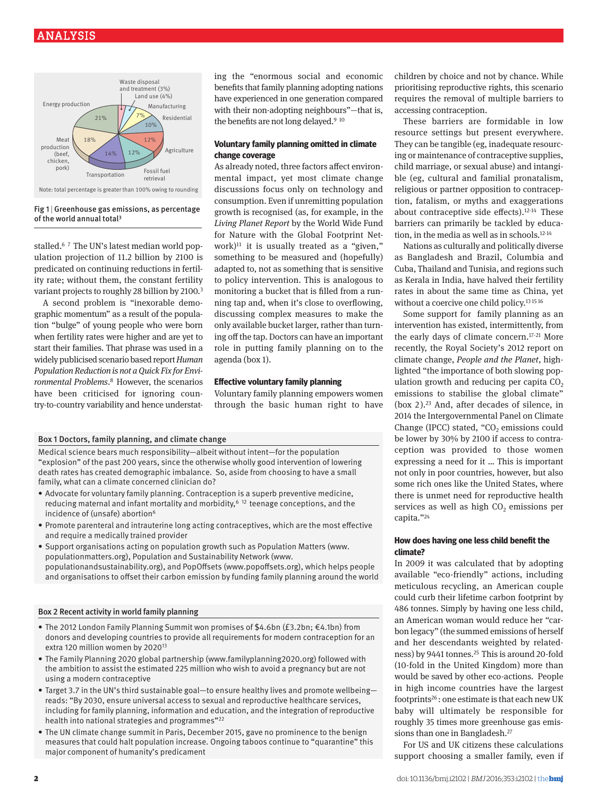# Analysis



#### Fig  $1$  | Greenhouse gas emissions, as percentage of the world annual total3

stalled.<sup>67</sup> The UN's latest median world population projection of 11.2 billion by 2100 is predicated on continuing reductions in fertility rate; without them, the constant fertility variant projects to roughly 28 billion by 2100.<sup>3</sup>

A second problem is "inexorable demographic momentum" as a result of the population "bulge" of young people who were born when fertility rates were higher and are yet to start their families. That phrase was used in a widely publicised scenario based report *Human Population Reduction is not a Quick Fix for Environmental Problems*. 8 However, the scenarios have been criticised for ignoring country-to-country variability and hence understating the "enormous social and economic benefits that family planning adopting nations have experienced in one generation compared with their non-adopting neighbours"—that is, the benefits are not long delayed.<sup>9 10</sup>

## **Voluntary family planning omitted in climate change coverage**

As already noted, three factors affect environmental impact, yet most climate change discussions focus only on technology and consumption. Even if unremitting population growth is recognised (as, for example, in the *Living Planet Report* by the World Wide Fund for Nature with the Global Footprint Network)<sup>11</sup> it is usually treated as a "given." something to be measured and (hopefully) adapted to, not as something that is sensitive to policy intervention. This is analogous to monitoring a bucket that is filled from a running tap and, when it's close to overflowing, discussing complex measures to make the only available bucket larger, rather than turning off the tap. Doctors can have an important role in putting family planning on to the agenda (box 1).

#### **Effective voluntary family planning**

Voluntary family planning empowers women through the basic human right to have

#### Box 1 Doctors, family planning, and climate change

Medical science bears much responsibility—albeit without intent—for the population "explosion" of the past 200 years, since the otherwise wholly good intervention of lowering death rates has created demographic imbalance. So, aside from choosing to have a small family, what can a climate concerned clinician do?

- Advocate for voluntary family planning. Contraception is a superb preventive medicine, reducing maternal and infant mortality and morbidity,  $6^{6}$  12 teenage conceptions, and the incidence of (unsafe) abortion<sup>6</sup>
- • Promote parenteral and intrauterine long acting contraceptives, which are the most effective and require a medically trained provider
- • Support organisations acting on population growth such as Population Matters (www. populationmatters.org), Population and Sustainability Network (www. populationandsustainability.org), and PopOffsets (www.popoffsets.org), which helps people and organisations to offset their carbon emission by funding family planning around the world

#### Box 2 Recent activity in world family planning

- • The 2012 London Family Planning Summit won promises of \$4.6bn (£3.2bn; €4.1bn) from donors and developing countries to provide all requirements for modern contraception for an extra 120 million women by 202013
- • The Family Planning 2020 global partnership (www.familyplanning2020.org) followed with the ambition to assist the estimated 225 million who wish to avoid a pregnancy but are not using a modern contraceptive
- Target 3.7 in the UN's third sustainable goal—to ensure healthy lives and promote wellbeing reads: "By 2030, ensure universal access to sexual and reproductive healthcare services, including for family planning, information and education, and the integration of reproductive health into national strategies and programmes"22
- The UN climate change summit in Paris, December 2015, gave no prominence to the benign measures that could halt population increase. Ongoing taboos continue to "quarantine" this major component of humanity's predicament

children by choice and not by chance. While prioritising reproductive rights, this scenario requires the removal of multiple barriers to accessing contraception.

These barriers are formidable in low resource settings but present everywhere. They can be tangible (eg, inadequate resourcing or maintenance of contraceptive supplies, child marriage, or sexual abuse) and intangible (eg, cultural and familial pronatalism, religious or partner opposition to contraception, fatalism, or myths and exaggerations about contraceptive side effects).12-14 These barriers can primarily be tackled by education, in the media as well as in schools.12-14

Nations as culturally and politically diverse as Bangladesh and Brazil, Columbia and Cuba, Thailand and Tunisia, and regions such as Kerala in India, have halved their fertility rates in about the same time as China, yet without a coercive one child policy.<sup>13 15 16</sup>

Some support for family planning as an intervention has existed, intermittently, from the early days of climate concern.17-21 More recently, the Royal Society's 2012 report on climate change, *People and the Planet*, highlighted "the importance of both slowing population growth and reducing per capita  $CO<sub>2</sub>$ emissions to stabilise the global climate" (box  $2$ ).<sup>23</sup> And, after decades of silence, in 2014 the Intergovernmental Panel on Climate Change (IPCC) stated, " $CO<sub>2</sub>$  emissions could be lower by 30% by 2100 if access to contraception was provided to those women expressing a need for it … This is important not only in poor countries, however, but also some rich ones like the United States, where there is unmet need for reproductive health services as well as high CO<sub>2</sub> emissions per capita."24

## **How does having one less child benefit the climate?**

In 2009 it was calculated that by adopting available "eco-friendly" actions, including meticulous recycling, an American couple could curb their lifetime carbon footprint by 486 tonnes. Simply by having one less child, an American woman would reduce her "carbon legacy" (the summed emissions of herself and her descendants weighted by relatedness) by 9441 tonnes.<sup>25</sup> This is around 20-fold (10-fold in the United Kingdom) more than would be saved by other eco-actions. People in high income countries have the largest footprints<sup>26</sup>: one estimate is that each new UK baby will ultimately be responsible for roughly 35 times more greenhouse gas emissions than one in Bangladesh.27

For US and UK citizens these calculations support choosing a smaller family, even if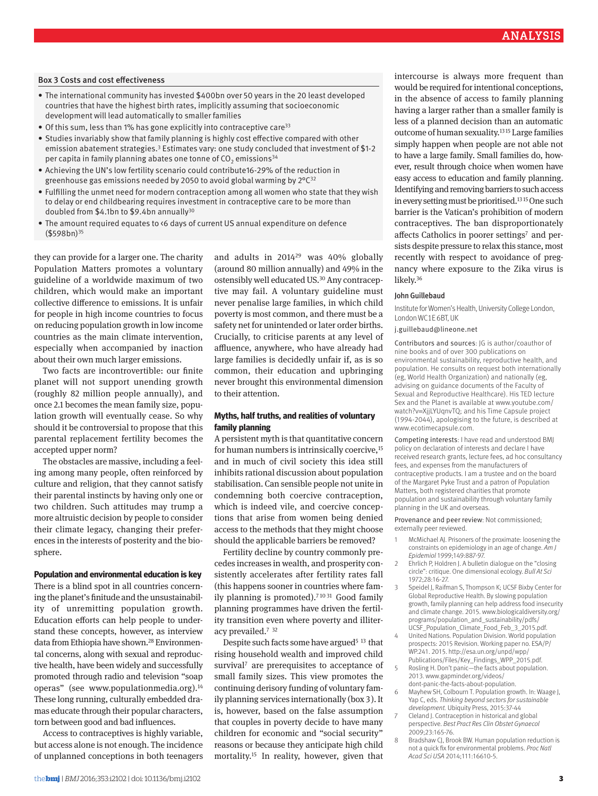#### Box 3 Costs and cost effectiveness

- • The international community has invested \$400bn over 50 years in the 20 least developed countries that have the highest birth rates, implicitly assuming that socioeconomic development will lead automatically to smaller families
- Of this sum, less than 1% has gone explicitly into contraceptive care<sup>33</sup>
- • Studies invariably show that family planning is highly cost effective compared with other emission abatement strategies.<sup>3</sup> Estimates vary: one study concluded that investment of \$1-2 per capita in family planning abates one tonne of  $CO<sub>2</sub>$  emissions<sup>34</sup>
- • Achieving the UN's low fertility scenario could contribute16-29% of the reduction in greenhouse gas emissions needed by 2050 to avoid global warming by 2°C32
- • Fulfilling the unmet need for modern contraception among all women who state that they wish to delay or end childbearing requires investment in contraceptive care to be more than doubled from \$4.1bn to \$9.4bn annually<sup>30</sup>
- The amount required equates to <6 days of current US annual expenditure on defence (\$598bn)35

they can provide for a larger one. The charity Population Matters promotes a voluntary guideline of a worldwide maximum of two children, which would make an important collective difference to emissions. It is unfair for people in high income countries to focus on reducing population growth in low income countries as the main climate intervention, especially when accompanied by inaction about their own much larger emissions.

Two facts are incontrovertible: our finite planet will not support unending growth (roughly 82 million people annually), and once 2.1 becomes the mean family size, population growth will eventually cease. So why should it be controversial to propose that this parental replacement fertility becomes the accepted upper norm?

The obstacles are massive, including a feeling among many people, often reinforced by culture and religion, that they cannot satisfy their parental instincts by having only one or two children. Such attitudes may trump a more altruistic decision by people to consider their climate legacy, changing their preferences in the interests of posterity and the biosphere.

#### **Population and environmental education is key**

There is a blind spot in all countries concerning the planet's finitude and the unsustainability of unremitting population growth. Education efforts can help people to understand these concepts, however, as interview data from Ethiopia have shown.<sup>28</sup> Environmental concerns, along with sexual and reproductive health, have been widely and successfully promoted through radio and television "soap operas" (see www.populationmedia.org).<sup>14</sup> These long running, culturally embedded dramas educate through their popular characters, torn between good and bad influences.

Access to contraceptives is highly variable, but access alone is not enough. The incidence of unplanned conceptions in both teenagers and adults in 201429 was 40% globally (around 80 million annually) and 49% in the ostensibly well educated US.<sup>30</sup> Any contraceptive may fail. A voluntary guideline must never penalise large families, in which child poverty is most common, and there must be a safety net for unintended or later order births. Crucially, to criticise parents at any level of affluence, anywhere, who have already had large families is decidedly unfair if, as is so common, their education and upbringing never brought this environmental dimension to their attention.

### **Myths, half truths, and realities of voluntary family planning**

A persistent myth is that quantitative concern for human numbers is intrinsically coercive,<sup>15</sup> and in much of civil society this idea still inhibits rational discussion about population stabilisation. Can sensible people not unite in condemning both coercive contraception, which is indeed vile, and coercive conceptions that arise from women being denied access to the methods that they might choose should the applicable barriers be removed?

Fertility decline by country commonly precedes increases in wealth, and prosperity consistently accelerates after fertility rates fall (this happens sooner in countries where family planning is promoted).<sup>71031</sup> Good family planning programmes have driven the fertility transition even where poverty and illiteracy prevailed.<sup>7</sup> <sup>32</sup>

Despite such facts some have argued<sup>5 13</sup> that rising household wealth and improved child survival<sup>7</sup> are prerequisites to acceptance of small family sizes. This view promotes the continuing derisory funding of voluntary family planning services internationally (box 3). It is, however, based on the false assumption that couples in poverty decide to have many children for economic and "social security" reasons or because they anticipate high child mortality.15 In reality, however, given that

intercourse is always more frequent than would be required for intentional conceptions, in the absence of access to family planning having a larger rather than a smaller family is less of a planned decision than an automatic outcome of human sexuality.13 15 Large families simply happen when people are not able not to have a large family*.* Small families do, however, result through choice when women have easy access to education and family planning. Identifying and removing barriers to such access in every setting must be prioritised.<sup>1315</sup> One such barrier is the Vatican's prohibition of modern contraceptives. The ban disproportionately affects Catholics in poorer settings<sup>7</sup> and persists despite pressure to relax this stance, most recently with respect to avoidance of pregnancy where exposure to the Zika virus is likely.36

#### JohnGuillebaud

Institute for Women's Health, University College London, London WC1E 6BT, UK

j.guillebaud@lineone.net

Contributors and sources: JG is author/coauthor of nine books and of over 300 publications on environmental sustainability, reproductive health, and population. He consults on request both internationally (eg, World Health Organization) and nationally (eg, advising on guidance documents of the Faculty of Sexual and Reproductive Healthcare). His TED lecture Sex and the Planet is available at www.youtube.com/ watch?v=XjjLYUqnvTQ; and his Time Capsule project (1994-2044), apologising to the future, is described at www.ecotimecapsule.com.

Competing interests: I have read and understood BMJ policy on declaration of interests and declare I have received research grants, lecture fees, ad hoc consultancy fees, and expenses from the manufacturers of contraceptive products. I am a trustee and on the board of the Margaret Pyke Trust and a patron of Population Matters, both registered charities that promote population and sustainability through voluntary family planning in the UK and overseas.

Provenance and peer review: Not commissioned; externally peer reviewed.

- McMichael AJ. Prisoners of the proximate: loosening the constraints on epidemiology in an age of change. *Am J Epidemiol* 1999;149:887-97.
- 2 Ehrlich P, Holdren J. A bulletin dialogue on the "closing circle": critique. One dimensional ecology. *Bull At Sci* 1972;28:16-27.
- 3 Speidel J, Raifman S, Thompson K; UCSF Bixby Center for Global Reproductive Health. By slowing population growth, family planning can help address food insecurity and climate change. 2015. www.biologicaldiversity.org/ programs/population\_and\_sustainability/pdfs/ UCSF\_Population\_Climate\_Food\_Feb\_3\_2015.pdf.
- 4 United Nations. Population Division. World population prospects: 2015 Revision. Working paper no. ESA/P/ WP.241. 2015. http://esa.un.org/unpd/wpp/ Publications/Files/Key\_Findings\_WPP\_2015.pdf.
- Rosling H. Don't panic—the facts about population. 2013. www.gapminder.org/videos/ dont-panic-the-facts-about-population.
- Mayhew SH, Colbourn T. Population growth. In: Waage J, Yap C, eds. *Thinking beyond sectors for sustainable development.* Ubiquity Press, 2015:37-44
- Cleland J. Contraception in historical and global perspective. *Best Pract Res Clin Obstet Gynaecol* 2009;23:165-76.
- 8 Bradshaw CJ, Brook BW. Human population reduction is not a quick fix for environmental problems. *Proc Natl Acad Sci USA* 2014;111:16610-5.